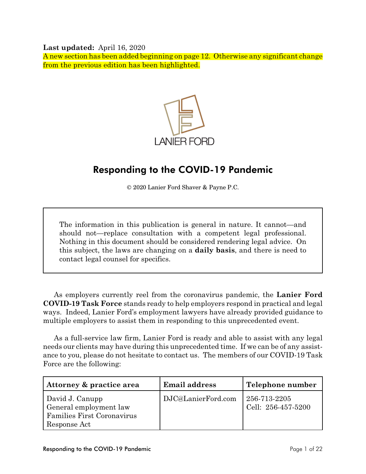**Last updated:** April 16, 2020

A new section has been added beginning on page 12. Otherwise any significant change from the previous edition has been highlighted.



# Responding to the COVID-19 Pandemic

© 2020 Lanier Ford Shaver & Payne P.C.

The information in this publication is general in nature. It cannot—and should not—replace consultation with a competent legal professional. Nothing in this document should be considered rendering legal advice. On this subject, the laws are changing on a **daily basis**, and there is need to contact legal counsel for specifics.

As employers currently reel from the coronavirus pandemic, the **Lanier Ford COVID-19 Task Force** stands ready to help employers respond in practical and legal ways. Indeed, Lanier Ford's employment lawyers have already provided guidance to multiple employers to assist them in responding to this unprecedented event.

As a full-service law firm, Lanier Ford is ready and able to assist with any legal needs our clients may have during this unprecedented time. If we can be of any assistance to you, please do not hesitate to contact us. The members of our COVID-19 Task Force are the following:

| Attorney & practice area                                                                | <b>Email address</b> | Telephone number                   |
|-----------------------------------------------------------------------------------------|----------------------|------------------------------------|
| David J. Canupp<br>General employment law<br>Families First Coronavirus<br>Response Act | DJC@LanierFord.com   | 256-713-2205<br>Cell: 256-457-5200 |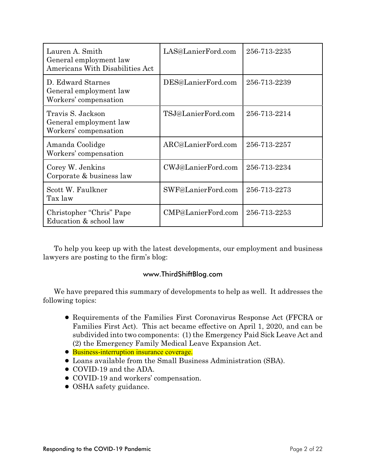| Lauren A. Smith<br>General employment law<br><b>Americans With Disabilities Act</b> | LAS@LanierFord.com | 256-713-2235 |
|-------------------------------------------------------------------------------------|--------------------|--------------|
| D. Edward Starnes<br>General employment law<br>Workers' compensation                | DES@LanierFord.com | 256-713-2239 |
| Travis S. Jackson<br>General employment law<br>Workers' compensation                | TSJ@LanierFord.com | 256-713-2214 |
| Amanda Coolidge<br>Workers' compensation                                            | ARC@LanierFord.com | 256-713-2257 |
| Corey W. Jenkins<br>Corporate & business law                                        | CWJ@LanierFord.com | 256-713-2234 |
| Scott W. Faulkner<br>Tax law                                                        | SWF@LanierFord.com | 256-713-2273 |
| Christopher "Chris" Pape<br>Education & school law                                  | CMP@LanierFord.com | 256-713-2253 |

To help you keep up with the latest developments, our employment and business lawyers are posting to the firm's blog:

# www.ThirdShiftBlog.com

We have prepared this summary of developments to help as well. It addresses the following topics:

- ! Requirements of the Families First Coronavirus Response Act (FFCRA or Families First Act). This act became effective on April 1, 2020, and can be subdivided into two components: (1) the Emergency Paid Sick Leave Act and (2) the Emergency Family Medical Leave Expansion Act.
- Business-interruption insurance coverage.
- ! Loans available from the Small Business Administration (SBA).
- COVID-19 and the ADA.
- COVID-19 and workers' compensation.
- OSHA safety guidance.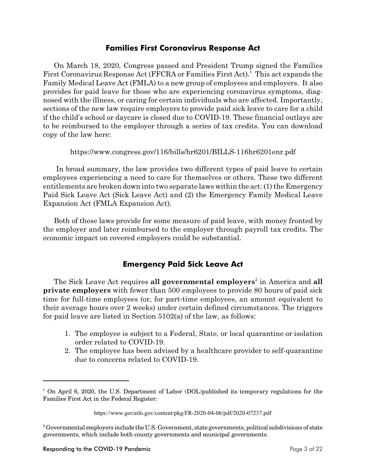### **Families First Coronavirus Response Act**

On March 18, 2020, Congress passed and President Trump signed the Families First Coronavirus Response Act (FFCRA or Families First Act).<sup>1</sup> This act expands the Family Medical Leave Act (FMLA) to a new group of employees and employers. It also provides for paid leave for those who are experiencing coronavirus symptoms, diagnosed with the illness, or caring for certain individuals who are affected. Importantly, sections of the new law require employers to provide paid sick leave to care for a child if the child's school or daycare is closed due to COVID-19. These financial outlays are to be reimbursed to the employer through a series of tax credits. You can download copy of the law here:

https://www.congress.gov/116/bills/hr6201/BILLS-116hr6201enr.pdf

In broad summary, the law provides two different types of paid leave to certain employees experiencing a need to care for themselves or others. These two different entitlements are broken down into two separate laws within the act: (1) the Emergency Paid Sick Leave Act (Sick Leave Act) and (2) the Emergency Family Medical Leave Expansion Act (FMLA Expansion Act).

Both of these laws provide for some measure of paid leave, with money fronted by the employer and later reimbursed to the employer through payroll tax credits. The economic impact on covered employers could be substantial.

# **Emergency Paid Sick Leave Act**

The Sick Leave Act requires **all governmental employers** in America and **all** <sup>2</sup> **private employers** with fewer than 500 employees to provide 80 hours of paid sick time for full-time employees (or, for part-time employees, an amount equivalent to their average hours over 2 weeks) under certain defined circumstances. The triggers for paid leave are listed in Section 5102(a) of the law, as follows:

- 1. The employee is subject to a Federal, State, or local quarantine or isolation order related to COVID-19.
- 2. The employee has been advised by a healthcare provider to self-quarantine due to concerns related to COVID-19.

 $1$  On April 6, 2020, the U.S. Department of Labor (DOL)published its temporary regulations for the Families First Act in the Federal Register:

https://www.govinfo.gov/content/pkg/FR-2020-04-06/pdf/2020-07237.pdf

 $^2$  Governmental employers include the U.S. Government, state governments, political subdivisions of state governments, which include both county governments and municipal governments.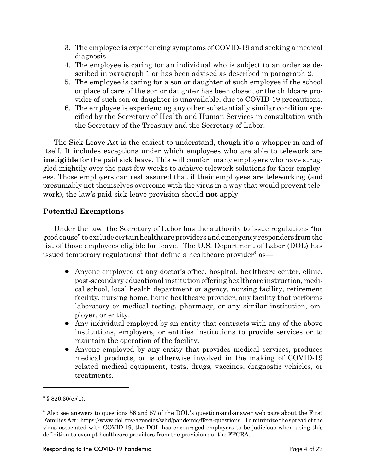- 3. The employee is experiencing symptoms of COVID-19 and seeking a medical diagnosis.
- 4. The employee is caring for an individual who is subject to an order as described in paragraph 1 or has been advised as described in paragraph 2.
- 5. The employee is caring for a son or daughter of such employee if the school or place of care of the son or daughter has been closed, or the childcare provider of such son or daughter is unavailable, due to COVID-19 precautions.
- 6. The employee is experiencing any other substantially similar condition specified by the Secretary of Health and Human Services in consultation with the Secretary of the Treasury and the Secretary of Labor.

The Sick Leave Act is the easiest to understand, though it's a whopper in and of itself. It includes exceptions under which employees who are able to telework are **ineligible** for the paid sick leave. This will comfort many employers who have struggled mightily over the past few weeks to achieve telework solutions for their employees. Those employers can rest assured that if their employees are teleworking (and presumably not themselves overcome with the virus in a way that would prevent telework), the law's paid-sick-leave provision should **not** apply.

### **Potential Exemptions**

Under the law, the Secretary of Labor has the authority to issue regulations "for good cause" to exclude certainhealthcare providers and emergency responders from the list of those employees eligible for leave. The U.S. Department of Labor (DOL) has issued temporary regulations $^3$  that define a healthcare provider $^4$  as—

- ! Anyone employed at any doctor's office, hospital, healthcare center, clinic, post-secondary educational institution offering healthcare instruction, medical school, local health department or agency, nursing facility, retirement facility, nursing home, home healthcare provider, any facility that performs laboratory or medical testing, pharmacy, or any similar institution, employer, or entity.
- ! Any individual employed by an entity that contracts with any of the above institutions, employers, or entities institutions to provide services or to maintain the operation of the facility.
- ! Anyone employed by any entity that provides medical services, produces medical products, or is otherwise involved in the making of COVID-19 related medical equipment, tests, drugs, vaccines, diagnostic vehicles, or treatments.

 $3 \text{ } $826.30(c)(1)$ .

 $4$  Also see answers to questions 56 and 57 of the DOL's question-and-answer web page about the First Families Act: https://www.dol.gov/agencies/whd/pandemic/ffcra-questions. To minimize the spread of the virus associated with COVID-19, the DOL has encouraged employers to be judicious when using this definition to exempt healthcare providers from the provisions of the FFCRA.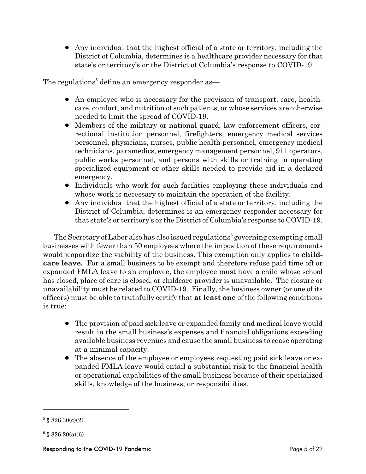! Any individual that the highest official of a state or territory, including the District of Columbia, determines is a healthcare provider necessary for that state's or territory's or the District of Columbia's response to COVID-19.

The regulations $^5$  define an emergency responder as—

- An employee who is necessary for the provision of transport, care, healthcare, comfort, and nutrition of such patients, or whose services are otherwise needed to limit the spread of COVID-19.
- Members of the military or national guard, law enforcement officers, correctional institution personnel, firefighters, emergency medical services personnel, physicians, nurses, public health personnel, emergency medical technicians, paramedics, emergency management personnel, 911 operators, public works personnel, and persons with skills or training in operating specialized equipment or other skills needed to provide aid in a declared emergency.
- ! Individuals who work for such facilities employing these individuals and whose work is necessary to maintain the operation of the facility.
- ! Any individual that the highest official of a state or territory, including the District of Columbia, determines is an emergency responder necessary for that state's or territory's or the District of Columbia's response to COVID-19.

The Secretary of Labor also has also issued regulations<sup>6</sup> governing exempting small businesses with fewer than 50 employees where the imposition of these requirements would jeopardize the viability of the business. This exemption only applies to **childcare leave.** For a small business to be exempt and therefore refuse paid time off or expanded FMLA leave to an employee, the employee must have a child whose school has closed, place of care is closed, or childcare provider is unavailable. The closure or unavailability must be related to COVID-19. Finally, the business owner (or one of its officers) must be able to truthfully certify that **at least one** of the following conditions is true:

- The provision of paid sick leave or expanded family and medical leave would result in the small business's expenses and financial obligations exceeding available business revenues and cause the small business to cease operating at a minimal capacity.
- The absence of the employee or employees requesting paid sick leave or expanded FMLA leave would entail a substantial risk to the financial health or operational capabilities of the small business because of their specialized skills, knowledge of the business, or responsibilities.

 $5 \text{ } $826.30(c)(2)$ .

 $6 \text{ } $826.20(a)(6)$ .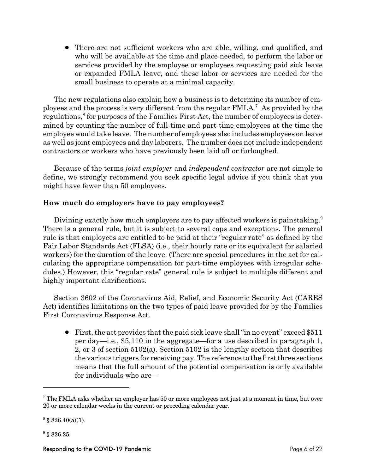• There are not sufficient workers who are able, willing, and qualified, and who will be available at the time and place needed, to perform the labor or services provided by the employee or employees requesting paid sick leave or expanded FMLA leave, and these labor or services are needed for the small business to operate at a minimal capacity.

The new regulations also explain how a business is to determine its number of employees and the process is very different from the regular  $\text{FMLA}^7$ . As provided by the regulations,<sup>8</sup> for purposes of the Families First Act, the number of employees is determined by counting the number of full-time and part-time employees at the time the employee would take leave. The number of employees also includes employees on leave as well as joint employees and day laborers. The number does not include independent contractors or workers who have previously been laid off or furloughed.

Because of the terms *joint employer* and *independent contractor* are not simple to define, we strongly recommend you seek specific legal advice if you think that you might have fewer than 50 employees.

### **How much do employers have to pay employees?**

Divining exactly how much employers are to pay affected workers is painstaking.<sup>9</sup> There is a general rule, but it is subject to several caps and exceptions. The general rule is that employees are entitled to be paid at their "regular rate" as defined by the Fair Labor Standards Act (FLSA) (i.e., their hourly rate or its equivalent for salaried workers) for the duration of the leave. (There are special procedures in the act for calculating the appropriate compensation for part-time employees with irregular schedules.) However, this "regular rate" general rule is subject to multiple different and highly important clarifications.

Section 3602 of the Coronavirus Aid, Relief, and Economic Security Act (CARES Act) identifies limitations on the two types of paid leave provided for by the Families First Coronavirus Response Act.

! First, the act provides that the paid sick leave shall "in no event" exceed \$511 per day—i.e., \$5,110 in the aggregate—for a use described in paragraph 1, 2, or 3 of section 5102(a). Section 5102 is the lengthy section that describes the various triggers for receiving pay. The reference to the first three sections means that the full amount of the potential compensation is only available for individuals who are—

 $^7$  The FMLA asks whether an employer has 50 or more employees not just at a moment in time, but over 20 or more calendar weeks in the current or preceding calendar year.

 $888.40(a)(1)$ .

 $9$  § 826.25.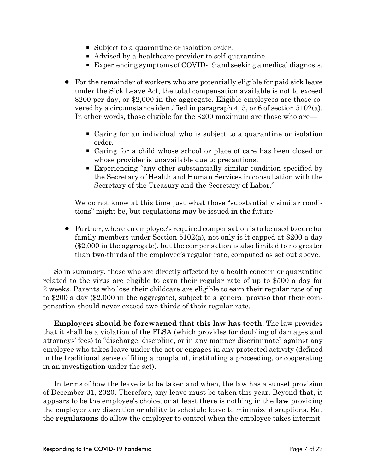- Subject to a quarantine or isolation order.
- Advised by a healthcare provider to self-quarantine.
- Experiencing symptoms of COVID-19 and seeking a medical diagnosis.
- ! For the remainder of workers who are potentially eligible for paid sick leave under the Sick Leave Act, the total compensation available is not to exceed \$200 per day, or \$2,000 in the aggregate. Eligible employees are those covered by a circumstance identified in paragraph 4, 5, or 6 of section 5102(a). In other words, those eligible for the \$200 maximum are those who are—
	- P Caring for an individual who is subject to a quarantine or isolation order.
	- P Caring for a child whose school or place of care has been closed or whose provider is unavailable due to precautions.
	- P Experiencing "any other substantially similar condition specified by the Secretary of Health and Human Services in consultation with the Secretary of the Treasury and the Secretary of Labor."

We do not know at this time just what those "substantially similar conditions" might be, but regulations may be issued in the future.

! Further, where an employee's required compensation is to be used to care for family members under Section 5102(a), not only is it capped at \$200 a day (\$2,000 in the aggregate), but the compensation is also limited to no greater than two-thirds of the employee's regular rate, computed as set out above.

So in summary, those who are directly affected by a health concern or quarantine related to the virus are eligible to earn their regular rate of up to \$500 a day for 2 weeks. Parents who lose their childcare are eligible to earn their regular rate of up to \$200 a day (\$2,000 in the aggregate), subject to a general proviso that their compensation should never exceed two-thirds of their regular rate.

**Employers should be forewarned that this law has teeth.** The law provides that it shall be a violation of the FLSA (which provides for doubling of damages and attorneys' fees) to "discharge, discipline, or in any manner discriminate" against any employee who takes leave under the act or engages in any protected activity (defined in the traditional sense of filing a complaint, instituting a proceeding, or cooperating in an investigation under the act).

In terms of how the leave is to be taken and when, the law has a sunset provision of December 31, 2020. Therefore, any leave must be taken this year. Beyond that, it appears to be the employee's choice, or at least there is nothing in the **law** providing the employer any discretion or ability to schedule leave to minimize disruptions. But the **regulations** do allow the employer to control when the employee takes intermit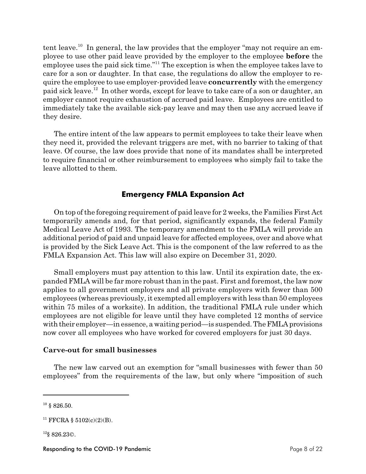tent leave.<sup>10</sup> In general, the law provides that the employer "may not require an employee to use other paid leave provided by the employer to the employee **before** the employee uses the paid sick time."<sup>11</sup> The exception is when the employee takes lave to care for a son or daughter. In that case, the regulations do allow the employer to require the employee to use employer-provided leave **concurrently** with the emergency paid sick leave.<sup>12</sup> In other words, except for leave to take care of a son or daughter, an employer cannot require exhaustion of accrued paid leave. Employees are entitled to immediately take the available sick-pay leave and may then use any accrued leave if they desire.

The entire intent of the law appears to permit employees to take their leave when they need it, provided the relevant triggers are met, with no barrier to taking of that leave. Of course, the law does provide that none of its mandates shall be interpreted to require financial or other reimbursement to employees who simply fail to take the leave allotted to them.

# **Emergency FMLA Expansion Act**

On top of the foregoing requirement of paid leave for 2 weeks, the Families First Act temporarily amends and, for that period, significantly expands, the federal Family Medical Leave Act of 1993. The temporary amendment to the FMLA will provide an additional period of paid and unpaid leave for affected employees, over and above what is provided by the Sick Leave Act. This is the component of the law referred to as the FMLA Expansion Act. This law will also expire on December 31, 2020.

Small employers must pay attention to this law. Until its expiration date, the expanded FMLA will be far more robust than in the past. First and foremost, the law now applies to all government employers and all private employers with fewer than 500 employees (whereas previously, it exempted all employers with less than 50 employees within 75 miles of a worksite). In addition, the traditional FMLA rule under which employees are not eligible for leave until they have completed 12 months of service with their employer—in essence, a waiting period—is suspended. The FMLA provisions now cover all employees who have worked for covered employers for just 30 days.

#### **Carve-out for small businesses**

The new law carved out an exemption for "small businesses with fewer than 50 employees" from the requirements of the law, but only where "imposition of such

 $12$ § 826.23 $\circ$ .

 $10\,$  § 826.50.

<sup>&</sup>lt;sup>11</sup> FFCRA § 5102(c)(2)(B).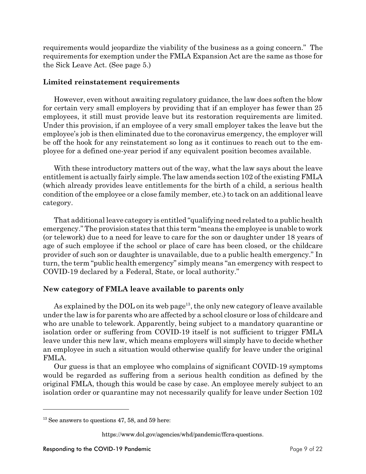requirements would jeopardize the viability of the business as a going concern." The requirements for exemption under the FMLA Expansion Act are the same as those for the Sick Leave Act. (See page 5.)

### **Limited reinstatement requirements**

However, even without awaiting regulatory guidance, the law does soften the blow for certain very small employers by providing that if an employer has fewer than 25 employees, it still must provide leave but its restoration requirements are limited. Under this provision, if an employee of a very small employer takes the leave but the employee's job is then eliminated due to the coronavirus emergency, the employer will be off the hook for any reinstatement so long as it continues to reach out to the employee for a defined one-year period if any equivalent position becomes available.

With these introductory matters out of the way, what the law says about the leave entitlement is actually fairly simple. The law amends section 102 of the existing FMLA (which already provides leave entitlements for the birth of a child, a serious health condition of the employee or a close family member, etc.) to tack on an additional leave category.

That additional leave category is entitled "qualifying need related to a public health emergency." The provision states that this term "means the employee is unable to work (or telework) due to a need for leave to care for the son or daughter under 18 years of age of such employee if the school or place of care has been closed, or the childcare provider of such son or daughter is unavailable, due to a public health emergency." In turn, the term "public health emergency" simply means "an emergency with respect to COVID-19 declared by a Federal, State, or local authority."

# **New category of FMLA leave available to parents only**

As explained by the DOL on its web page<sup>13</sup>, the only new category of leave available under the law is for parents who are affected by a school closure or loss of childcare and who are unable to telework. Apparently, being subject to a mandatory quarantine or isolation order or suffering from COVID-19 itself is not sufficient to trigger FMLA leave under this new law, which means employers will simply have to decide whether an employee in such a situation would otherwise qualify for leave under the original FMLA.

Our guess is that an employee who complains of significant COVID-19 symptoms would be regarded as suffering from a serious health condition as defined by the original FMLA, though this would be case by case. An employee merely subject to an isolation order or quarantine may not necessarily qualify for leave under Section 102

 $13$  See answers to questions 47, 58, and 59 here:

https://www.dol.gov/agencies/whd/pandemic/ffcra-questions.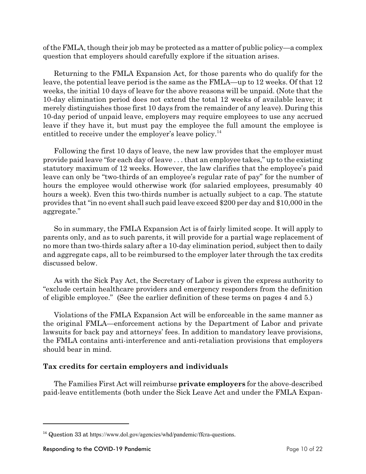of the FMLA, though their job may be protected as a matter of public policy—a complex question that employers should carefully explore if the situation arises.

Returning to the FMLA Expansion Act, for those parents who do qualify for the leave, the potential leave period is the same as the FMLA—up to 12 weeks. Of that 12 weeks, the initial 10 days of leave for the above reasons will be unpaid. (Note that the 10-day elimination period does not extend the total 12 weeks of available leave; it merely distinguishes those first 10 days from the remainder of any leave). During this 10-day period of unpaid leave, employers may require employees to use any accrued leave if they have it, but must pay the employee the full amount the employee is entitled to receive under the employer's leave policy. $^{14}$ 

Following the first 10 days of leave, the new law provides that the employer must provide paid leave "for each day of leave . . . that an employee takes," up to the existing statutory maximum of 12 weeks. However, the law clarifies that the employee's paid leave can only be "two-thirds of an employee's regular rate of pay" for the number of hours the employee would otherwise work (for salaried employees, presumably 40 hours a week). Even this two-thirds number is actually subject to a cap. The statute provides that "in no event shall such paid leave exceed \$200 per day and \$10,000 in the aggregate."

So in summary, the FMLA Expansion Act is of fairly limited scope. It will apply to parents only, and as to such parents, it will provide for a partial wage replacement of no more than two-thirds salary after a 10-day elimination period, subject then to daily and aggregate caps, all to be reimbursed to the employer later through the tax credits discussed below.

As with the Sick Pay Act, the Secretary of Labor is given the express authority to "exclude certain healthcare providers and emergency responders from the definition of eligible employee." (See the earlier definition of these terms on pages 4 and 5.)

Violations of the FMLA Expansion Act will be enforceable in the same manner as the original FMLA—enforcement actions by the Department of Labor and private lawsuits for back pay and attorneys' fees. In addition to mandatory leave provisions, the FMLA contains anti-interference and anti-retaliation provisions that employers should bear in mind.

# **Tax credits for certain employers and individuals**

The Families First Act will reimburse **private employers** for the above-described paid-leave entitlements (both under the Sick Leave Act and under the FMLA Expan-

 $14$  Question 33 at https://www.dol.gov/agencies/whd/pandemic/ffcra-questions.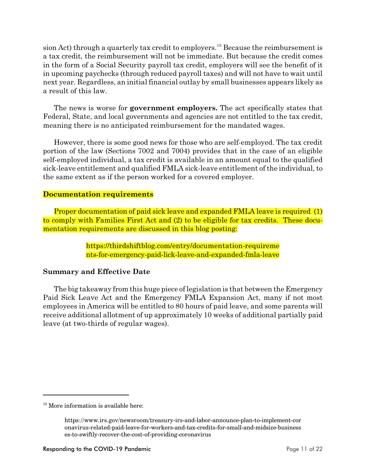sion Act) through a quarterly tax credit to employers.<sup>15</sup> Because the reimbursement is a tax credit, the reimbursement will not be immediate. But because the credit comes in the form of a Social Security payroll tax credit, employers will see the benefit of it in upcoming paychecks (through reduced payroll taxes) and will not have to wait until next year. Regardless, an initial financial outlay by small businesses appears likely as a result of this law.

The news is worse for **government employers.** The act specifically states that Federal, State, and local governments and agencies are not entitled to the tax credit, meaning there is no anticipated reimbursement for the mandated wages.

However, there is some good news for those who are self-employed. The tax credit portion of the law (Sections 7002 and 7004) provides that in the case of an eligible self-employed individual, a tax credit is available in an amount equal to the qualified sick-leave entitlement and qualified FMLA sick-leave entitlement of the individual, to the same extent as if the person worked for a covered employer.

### **Documentation requirements**

Proper documentation of paid sick leave and expanded FMLA leave is required (1) to comply with Families First Act and (2) to be eligible for tax credits. These documentation requirements are discussed in this blog posting:

> https://thirdshiftblog.com/entry/documentation-requireme nts-for-emergency-paid-lick-leave-and-expanded-fmla-leave

### **Summary and Effective Date**

The big takeaway from this huge piece of legislation is that between the Emergency Paid Sick Leave Act and the Emergency FMLA Expansion Act, many if not most employees in America will be entitled to 80 hours of paid leave, and some parents will receive additional allotment of up approximately 10 weeks of additional partially paid leave (at two-thirds of regular wages).

<sup>&</sup>lt;sup>15</sup> More information is available here:

https://www.irs.gov/newsroom/treasury-irs-and-labor-announce-plan-to-implement-cor onavirus-related-paid-leave-for-workers-and-tax-credits-for-small-and-midsize-business es-to-swiftly-recover-the-cost-of-providing-coronavirus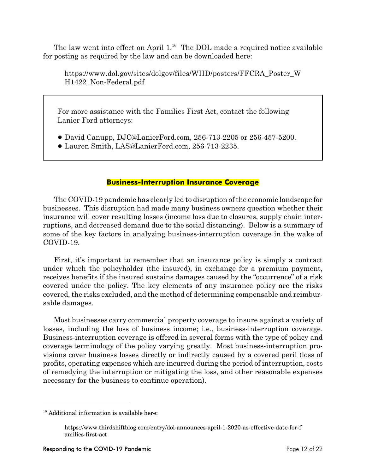The law went into effect on April 1.<sup>16</sup> The DOL made a required notice available for posting as required by the law and can be downloaded here:

https://www.dol.gov/sites/dolgov/files/WHD/posters/FFCRA\_Poster\_W H1422\_Non-Federal.pdf

For more assistance with the Families First Act, contact the following Lanier Ford attorneys:

- ! David Canupp, DJC@LanierFord.com, 256-713-2205 or 256-457-5200.
- ! Lauren Smith, LAS@LanierFord.com, 256-713-2235.

### **Business-Interruption Insurance Coverage**

The COVID-19 pandemic has clearly led to disruption of the economic landscape for businesses. This disruption had made many business owners question whether their insurance will cover resulting losses (income loss due to closures, supply chain interruptions, and decreased demand due to the social distancing). Below is a summary of some of the key factors in analyzing business-interruption coverage in the wake of COVID-19.

First, it's important to remember that an insurance policy is simply a contract under which the policyholder (the insured), in exchange for a premium payment, receives benefits if the insured sustains damages caused by the "occurrence" of a risk covered under the policy. The key elements of any insurance policy are the risks covered, the risks excluded, and the method of determining compensable and reimbursable damages.

Most businesses carry commercial property coverage to insure against a variety of losses, including the loss of business income; i.e., business-interruption coverage. Business-interruption coverage is offered in several forms with the type of policy and coverage terminology of the policy varying greatly. Most business-interruption provisions cover business losses directly or indirectly caused by a covered peril (loss of profits, operating expenses which are incurred during the period of interruption, costs of remedying the interruption or mitigating the loss, and other reasonable expenses necessary for the business to continue operation).

 $16$  Additional information is available here:

https://www.thirdshiftblog.com/entry/dol-announces-april-1-2020-as-effective-date-for-f amilies-first-act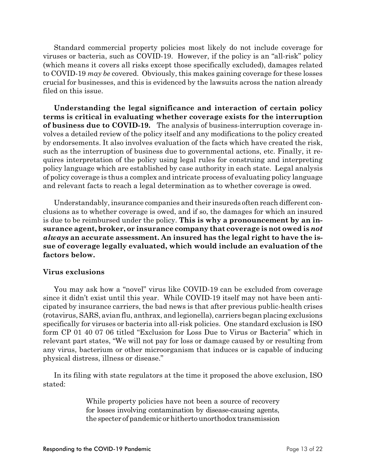Standard commercial property policies most likely do not include coverage for viruses or bacteria, such as COVID-19. However, if the policy is an "all-risk" policy (which means it covers all risks except those specifically excluded), damages related to COVID-19 *may be* covered. Obviously, this makes gaining coverage for these losses crucial for businesses, and this is evidenced by the lawsuits across the nation already filed on this issue.

**Understanding the legal significance and interaction of certain policy terms is critical in evaluating whether coverage exists for the interruption of business due to COVID-19.** The analysis of business-interruption coverage involves a detailed review of the policy itself and any modifications to the policy created by endorsements. It also involves evaluation of the facts which have created the risk, such as the interruption of business due to governmental actions, etc. Finally, it requires interpretation of the policy using legal rules for construing and interpreting policy language which are established by case authority in each state. Legal analysis of policy coverage is thus a complex and intricate process of evaluating policy language and relevant facts to reach a legal determination as to whether coverage is owed.

Understandably, insurance companies and their insureds often reach different conclusions as to whether coverage is owed, and if so, the damages for which an insured is due to be reimbursed under the policy. **This is why a pronouncement by an insurance agent, broker, or insurance company that coverage is not owed is** *not always* **an accurate assessment. An insured has the legal right to have the issue of coverage legally evaluated, which would include an evaluation of the factors below.** 

#### **Virus exclusions**

You may ask how a "novel" virus like COVID-19 can be excluded from coverage since it didn't exist until this year. While COVID-19 itself may not have been anticipated by insurance carriers, the bad news is that after previous public-health crises (rotavirus, SARS, avian flu, anthrax, and legionella), carriers began placing exclusions specifically for viruses or bacteria into all-risk policies. One standard exclusion is ISO form CP 01 40 07 06 titled "Exclusion for Loss Due to Virus or Bacteria" which in relevant part states, "We will not pay for loss or damage caused by or resulting from any virus, bacterium or other microorganism that induces or is capable of inducing physical distress, illness or disease."

In its filing with state regulators at the time it proposed the above exclusion, ISO stated:

> While property policies have not been a source of recovery for losses involving contamination by disease-causing agents, the specter of pandemic or hitherto unorthodox transmission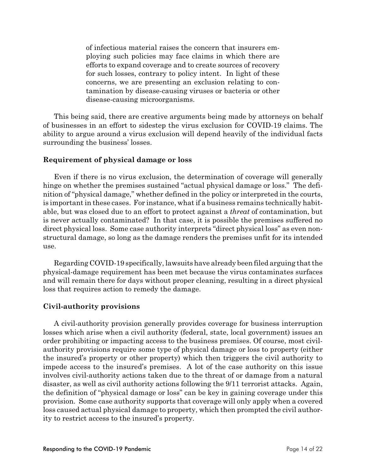of infectious material raises the concern that insurers employing such policies may face claims in which there are efforts to expand coverage and to create sources of recovery for such losses, contrary to policy intent. In light of these concerns, we are presenting an exclusion relating to contamination by disease-causing viruses or bacteria or other disease-causing microorganisms.

This being said, there are creative arguments being made by attorneys on behalf of businesses in an effort to sidestep the virus exclusion for COVID-19 claims. The ability to argue around a virus exclusion will depend heavily of the individual facts surrounding the business' losses.

#### **Requirement of physical damage or loss**

Even if there is no virus exclusion, the determination of coverage will generally hinge on whether the premises sustained "actual physical damage or loss." The definition of "physical damage," whether defined in the policy or interpreted in the courts, is important in these cases. For instance, what if a business remains technically habitable, but was closed due to an effort to protect against a *threat* of contamination, but is never actually contaminated? In that case, it is possible the premises suffered no direct physical loss. Some case authority interprets "direct physical loss" as even nonstructural damage, so long as the damage renders the premises unfit for its intended use.

Regarding COVID-19 specifically, lawsuitshave already been filed arguing that the physical-damage requirement has been met because the virus contaminates surfaces and will remain there for days without proper cleaning, resulting in a direct physical loss that requires action to remedy the damage.

### **Civil-authority provisions**

A civil-authority provision generally provides coverage for business interruption losses which arise when a civil authority (federal, state, local government) issues an order prohibiting or impacting access to the business premises. Of course, most civilauthority provisions require some type of physical damage or loss to property (either the insured's property or other property) which then triggers the civil authority to impede access to the insured's premises. A lot of the case authority on this issue involves civil-authority actions taken due to the threat of or damage from a natural disaster, as well as civil authority actions following the 9/11 terrorist attacks. Again, the definition of "physical damage or loss" can be key in gaining coverage under this provision. Some case authority supports that coverage will only apply when a covered loss caused actual physical damage to property, which then prompted the civil authority to restrict access to the insured's property.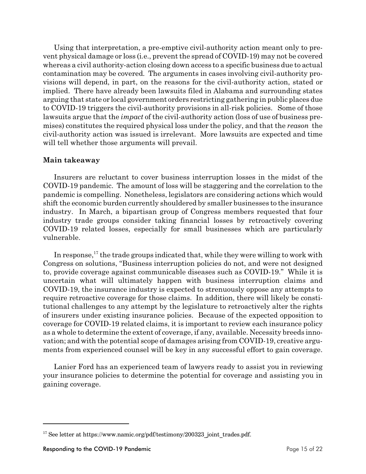Using that interpretation, a pre-emptive civil-authority action meant only to prevent physical damage or loss (i.e., prevent the spread of COVID-19) may not be covered whereas a civil authority-action closing down access to a specific business due to actual contamination may be covered. The arguments in cases involving civil-authority provisions will depend, in part, on the reasons for the civil-authority action, stated or implied. There have already been lawsuits filed in Alabama and surrounding states arguing that state or local government orders restricting gathering in public places due to COVID-19 triggers the civil-authority provisions in all-risk policies. Some of those lawsuits argue that the *impact* of the civil-authority action (loss of use of business premises) constitutes the required physical loss under the policy, and that the *reason* the civil-authority action was issued is irrelevant. More lawsuits are expected and time will tell whether those arguments will prevail.

#### **Main takeaway**

Insurers are reluctant to cover business interruption losses in the midst of the COVID-19 pandemic. The amount of loss will be staggering and the correlation to the pandemic is compelling. Nonetheless, legislators are considering actions which would shift the economic burden currently shouldered by smaller businesses to the insurance industry. In March, a bipartisan group of Congress members requested that four industry trade groups consider taking financial losses by retroactively covering COVID-19 related losses, especially for small businesses which are particularly vulnerable.

In response,  $^{17}$  the trade groups indicated that, while they were willing to work with Congress on solutions, "Business interruption policies do not, and were not designed to, provide coverage against communicable diseases such as COVID-19." While it is uncertain what will ultimately happen with business interruption claims and COVID-19, the insurance industry is expected to strenuously oppose any attempts to require retroactive coverage for those claims. In addition, there will likely be constitutional challenges to any attempt by the legislature to retroactively alter the rights of insurers under existing insurance policies. Because of the expected opposition to coverage for COVID-19 related claims, it is important to review each insurance policy as a whole to determine the extent of coverage, if any, available. Necessity breeds innovation; and with the potential scope of damages arising from COVID-19, creative arguments from experienced counsel will be key in any successful effort to gain coverage.

Lanier Ford has an experienced team of lawyers ready to assist you in reviewing your insurance policies to determine the potential for coverage and assisting you in gaining coverage.

<sup>&</sup>lt;sup>17</sup> See letter at https://www.namic.org/pdf/testimony/200323\_joint\_trades.pdf.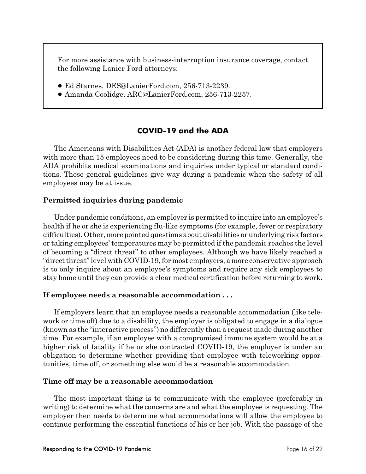For more assistance with business-interruption insurance coverage, contact the following Lanier Ford attorneys:

- ! Ed Starnes, DES@LanierFord.com, 256-713-2239.
- ! Amanda Coolidge, ARC@LanierFord.com, 256-713-2257.

# **COVID-19 and the ADA**

The Americans with Disabilities Act (ADA) is another federal law that employers with more than 15 employees need to be considering during this time. Generally, the ADA prohibits medical examinations and inquiries under typical or standard conditions. Those general guidelines give way during a pandemic when the safety of all employees may be at issue.

# **Permitted inquiries during pandemic**

Under pandemic conditions, an employer is permitted to inquire into an employee's health if he or she is experiencing flu-like symptoms (for example, fever or respiratory difficulties). Other, more pointed questions about disabilities or underlying risk factors or taking employees' temperatures may be permitted if the pandemic reaches the level of becoming a "direct threat" to other employees. Although we have likely reached a "direct threat" level with COVID-19, for most employers, a more conservative approach is to only inquire about an employee's symptoms and require any sick employees to stay home until they can provide a clear medical certification before returning to work.

### **If employee needs a reasonable accommodation . . .**

If employers learn that an employee needs a reasonable accommodation (like telework or time off) due to a disability, the employer is obligated to engage in a dialogue (known as the "interactive process") no differently than a request made during another time. For example, if an employee with a compromised immune system would be at a higher risk of fatality if he or she contracted COVID-19, the employer is under an obligation to determine whether providing that employee with teleworking opportunities, time off, or something else would be a reasonable accommodation.

### **Time off may be a reasonable accommodation**

The most important thing is to communicate with the employee (preferably in writing) to determine what the concerns are and what the employee is requesting. The employer then needs to determine what accommodations will allow the employee to continue performing the essential functions of his or her job. With the passage of the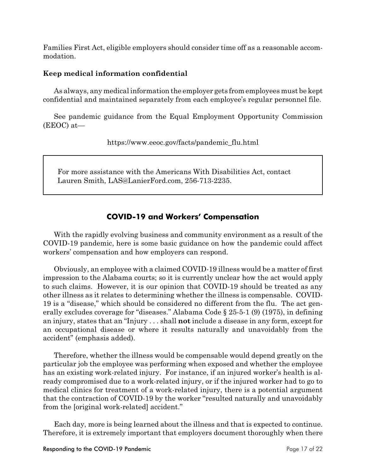Families First Act, eligible employers should consider time off as a reasonable accommodation.

### **Keep medical information confidential**

As always, any medical information the employer gets from employees must be kept confidential and maintained separately from each employee's regular personnel file.

See pandemic guidance from the Equal Employment Opportunity Commission (EEOC) at—

https://www.eeoc.gov/facts/pandemic\_flu.html

For more assistance with the Americans With Disabilities Act, contact Lauren Smith, LAS@LanierFord.com, 256-713-2235.

# **COVID-19 and Workers' Compensation**

With the rapidly evolving business and community environment as a result of the COVID-19 pandemic, here is some basic guidance on how the pandemic could affect workers' compensation and how employers can respond.

Obviously, an employee with a claimed COVID-19 illness would be a matter of first impression to the Alabama courts; so it is currently unclear how the act would apply to such claims. However, it is our opinion that COVID-19 should be treated as any other illness as it relates to determining whether the illness is compensable. COVID-19 is a "disease," which should be considered no different from the flu. The act generally excludes coverage for "diseases." Alabama Code § 25-5-1 (9) (1975), in defining an injury, states that an "Injury . . . shall **not** include a disease in any form, except for an occupational disease or where it results naturally and unavoidably from the accident" (emphasis added).

Therefore, whether the illness would be compensable would depend greatly on the particular job the employee was performing when exposed and whether the employee has an existing work-related injury. For instance, if an injured worker's health is already compromised due to a work-related injury, or if the injured worker had to go to medical clinics for treatment of a work-related injury, there is a potential argument that the contraction of COVID-19 by the worker "resulted naturally and unavoidably from the [original work-related] accident."

Each day, more is being learned about the illness and that is expected to continue. Therefore, it is extremely important that employers document thoroughly when there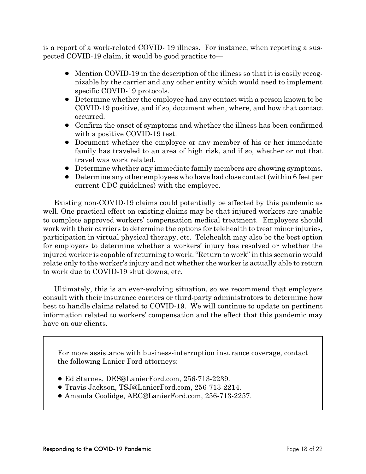is a report of a work-related COVID- 19 illness. For instance, when reporting a suspected COVID-19 claim, it would be good practice to—

- ! Mention COVID-19 in the description of the illness so that it is easily recognizable by the carrier and any other entity which would need to implement specific COVID-19 protocols.
- Determine whether the employee had any contact with a person known to be COVID-19 positive, and if so, document when, where, and how that contact occurred.
- Confirm the onset of symptoms and whether the illness has been confirmed with a positive COVID-19 test.
- Document whether the employee or any member of his or her immediate family has traveled to an area of high risk, and if so, whether or not that travel was work related.
- ! Determine whether any immediate family members are showing symptoms.
- ! Determine any other employees who have had close contact (within 6 feet per current CDC guidelines) with the employee.

Existing non-COVID-19 claims could potentially be affected by this pandemic as well. One practical effect on existing claims may be that injured workers are unable to complete approved workers' compensation medical treatment. Employers should work with their carriers to determine the options for telehealth to treat minor injuries, participation in virtual physical therapy, etc. Telehealth may also be the best option for employers to determine whether a workers' injury has resolved or whether the injured worker is capable of returning to work. "Return to work" in this scenario would relate only to the worker's injury and not whether the worker is actually able to return to work due to COVID-19 shut downs, etc.

Ultimately, this is an ever-evolving situation, so we recommend that employers consult with their insurance carriers or third-party administrators to determine how best to handle claims related to COVID-19. We will continue to update on pertinent information related to workers' compensation and the effect that this pandemic may have on our clients.

For more assistance with business-interruption insurance coverage, contact the following Lanier Ford attorneys:

- ! Ed Starnes, DES@LanierFord.com, 256-713-2239.
- ! Travis Jackson, TSJ@LanierFord.com, 256-713-2214.
- ! Amanda Coolidge, ARC@LanierFord.com, 256-713-2257.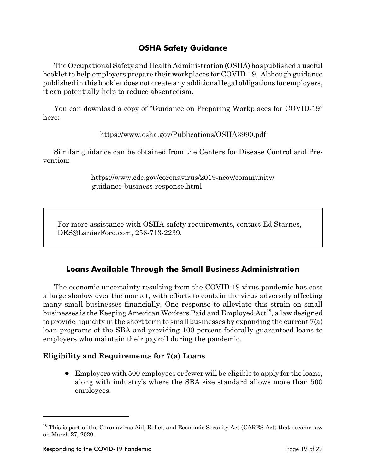# **OSHA Safety Guidance**

The Occupational Safety and Health Administration (OSHA) has published a useful booklet to help employers prepare their workplaces for COVID-19. Although guidance published in this booklet does not create any additional legal obligations for employers, it can potentially help to reduce absenteeism.

You can download a copy of "Guidance on Preparing Workplaces for COVID-19" here:

https://www.osha.gov/Publications/OSHA3990.pdf

Similar guidance can be obtained from the Centers for Disease Control and Prevention:

> https://www.cdc.gov/coronavirus/2019-ncov/community/ guidance-business-response.html

For more assistance with OSHA safety requirements, contact Ed Starnes, DES@LanierFord.com, 256-713-2239.

# **Loans Available Through the Small Business Administration**

The economic uncertainty resulting from the COVID-19 virus pandemic has cast a large shadow over the market, with efforts to contain the virus adversely affecting many small businesses financially. One response to alleviate this strain on small businesses is the Keeping American Workers Paid and Employed Act<sup>18</sup>, a law designed to provide liquidity in the short term to small businesses by expanding the current 7(a) loan programs of the SBA and providing 100 percent federally guaranteed loans to employers who maintain their payroll during the pandemic.

### **Eligibility and Requirements for 7(a) Loans**

! Employers with 500 employees or fewer will be eligible to apply for the loans, along with industry's where the SBA size standard allows more than 500 employees.

 $18$  This is part of the Coronavirus Aid, Relief, and Economic Security Act (CARES Act) that became law on March 27, 2020.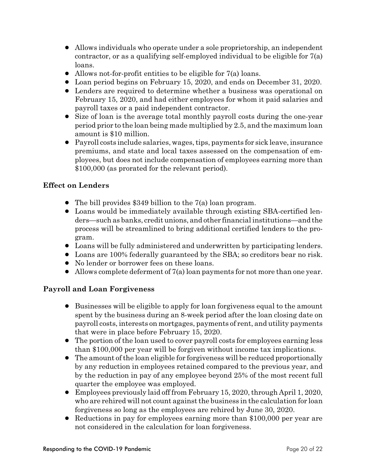- ! Allows individuals who operate under a sole proprietorship, an independent contractor, or as a qualifying self-employed individual to be eligible for 7(a) loans.
- $\bullet$  Allows not-for-profit entities to be eligible for 7(a) loans.
- ! Loan period begins on February 15, 2020, and ends on December 31, 2020.
- Lenders are required to determine whether a business was operational on February 15, 2020, and had either employees for whom it paid salaries and payroll taxes or a paid independent contractor.
- Size of loan is the average total monthly payroll costs during the one-year period prior to the loan being made multiplied by 2.5, and the maximum loan amount is \$10 million.
- ! Payroll costs include salaries, wages, tips, payments for sick leave, insurance premiums, and state and local taxes assessed on the compensation of employees, but does not include compensation of employees earning more than \$100,000 (as prorated for the relevant period).

# **Effect on Lenders**

- The bill provides \$349 billion to the 7(a) loan program.
- Loans would be immediately available through existing SBA-certified lenders—such as banks, credit unions, and other financial institutions—and the process will be streamlined to bring additional certified lenders to the program.
- ! Loans will be fully administered and underwritten by participating lenders.
- ! Loans are 100% federally guaranteed by the SBA; so creditors bear no risk.
- No lender or borrower fees on these loans.
- $\bullet$  Allows complete deferment of  $7(a)$  loan payments for not more than one year.

# **Payroll and Loan Forgiveness**

- Businesses will be eligible to apply for loan forgiveness equal to the amount spent by the business during an 8-week period after the loan closing date on payroll costs, interests on mortgages, payments of rent, and utility payments that were in place before February 15, 2020.
- The portion of the loan used to cover payroll costs for employees earning less than \$100,000 per year will be forgiven without income tax implications.
- The amount of the loan eligible for forgiveness will be reduced proportionally by any reduction in employees retained compared to the previous year, and by the reduction in pay of any employee beyond 25% of the most recent full quarter the employee was employed.
- ! Employees previously laid off from February 15, 2020, through April 1, 2020, who are rehired will not count against the business in the calculation for loan forgiveness so long as the employees are rehired by June 30, 2020.
- Reductions in pay for employees earning more than \$100,000 per year are not considered in the calculation for loan forgiveness.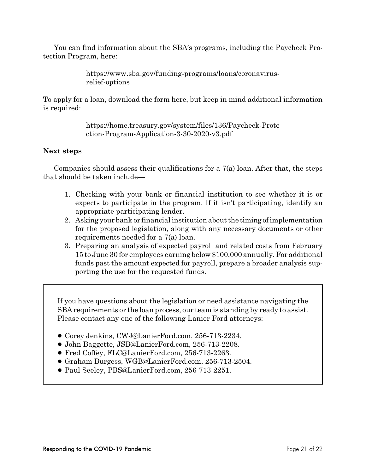You can find information about the SBA's programs, including the Paycheck Protection Program, here:

> https://www.sba.gov/funding-programs/loans/coronavirusrelief-options

To apply for a loan, download the form here, but keep in mind additional information is required:

> https://home.treasury.gov/system/files/136/Paycheck-Prote ction-Program-Application-3-30-2020-v3.pdf

### **Next steps**

Companies should assess their qualifications for a 7(a) loan. After that, the steps that should be taken include—

- 1. Checking with your bank or financial institution to see whether it is or expects to participate in the program. If it isn't participating, identify an appropriate participating lender.
- 2. Asking your bank or financial institution about the timing of implementation for the proposed legislation, along with any necessary documents or other requirements needed for a 7(a) loan.
- 3. Preparing an analysis of expected payroll and related costs from February 15 to June 30 for employees earning below \$100,000 annually. For additional funds past the amount expected for payroll, prepare a broader analysis supporting the use for the requested funds.

If you have questions about the legislation or need assistance navigating the SBA requirements or the loan process, our team is standing by ready to assist. Please contact any one of the following Lanier Ford attorneys:

- ! Corey Jenkins, CWJ@LanierFord.com, 256-713-2234.
- ! John Baggette, JSB@LanierFord.com, 256-713-2208.
- ! Fred Coffey, FLC@LanierFord.com, 256-713-2263.
- ! Graham Burgess, WGB@LanierFord.com, 256-713-2504.
- ! Paul Seeley, PBS@LanierFord.com, 256-713-2251.